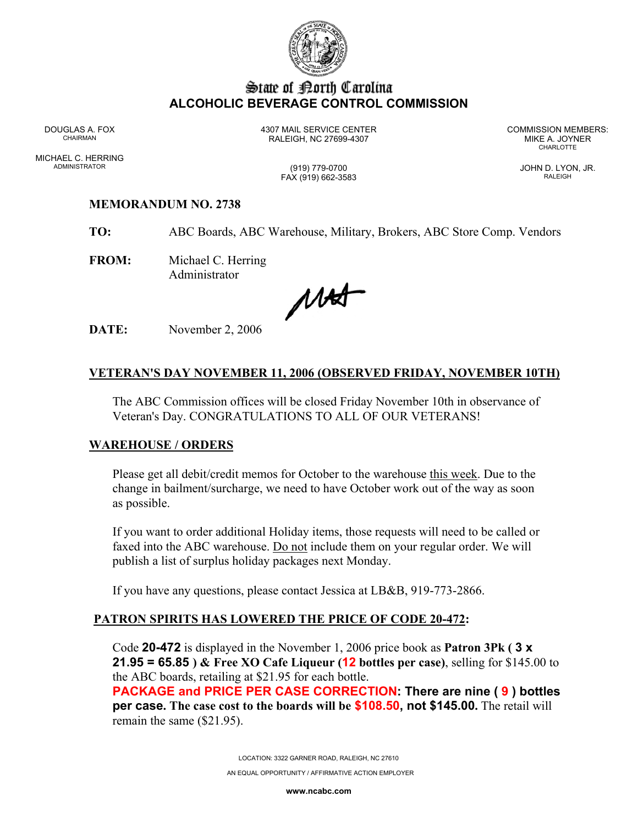

# State of :Dorth Carolina **ALCOHOLIC BEVERAGE CONTROL COMMISSION**

MICHAEL C. HERRING ADMINISTRATOR (919) 779-0700 JOHN D. LYON, JR.

DOUGLAS A. FOX 4307 MAIL SERVICE CENTER COMMISSION MEMBERS: CHAIRMAN RALEIGH, NC 27699-4307 MIKE A. JOYNER

**CHARLOTTE** 

FAX (919) 662-3583 RALEIGH

### **MEMORANDUM NO. 2738**

**TO:** ABC Boards, ABC Warehouse, Military, Brokers, ABC Store Comp. Vendors

**FROM:** Michael C. Herring Administrator

MAT

**DATE:** November 2, 2006

## **VETERAN'S DAY NOVEMBER 11, 2006 (OBSERVED FRIDAY, NOVEMBER 10TH)**

The ABC Commission offices will be closed Friday November 10th in observance of Veteran's Day. CONGRATULATIONS TO ALL OF OUR VETERANS!

#### **WAREHOUSE / ORDERS**

Please get all debit/credit memos for October to the warehouse this week. Due to the change in bailment/surcharge, we need to have October work out of the way as soon as possible.

If you want to order additional Holiday items, those requests will need to be called or faxed into the ABC warehouse. Do not include them on your regular order. We will publish a list of surplus holiday packages next Monday.

If you have any questions, please contact Jessica at LB&B, 919-773-2866.

## **PATRON SPIRITS HAS LOWERED THE PRICE OF CODE 20-472:**

Code **20-472** is displayed in the November 1, 2006 price book as **Patron 3Pk ( 3 x 21.95 = 65.85 ) & Free XO Cafe Liqueur (12 bottles per case)**, selling for \$145.00 to the ABC boards, retailing at \$21.95 for each bottle.

**PACKAGE and PRICE PER CASE CORRECTION: There are nine ( 9 ) bottles per case. The case cost to the boards will be \$108.50, not \$145.00.** The retail will remain the same (\$21.95).

LOCATION: 3322 GARNER ROAD, RALEIGH, NC 27610

AN EQUAL OPPORTUNITY / AFFIRMATIVE ACTION EMPLOYER

**www.ncabc.com**